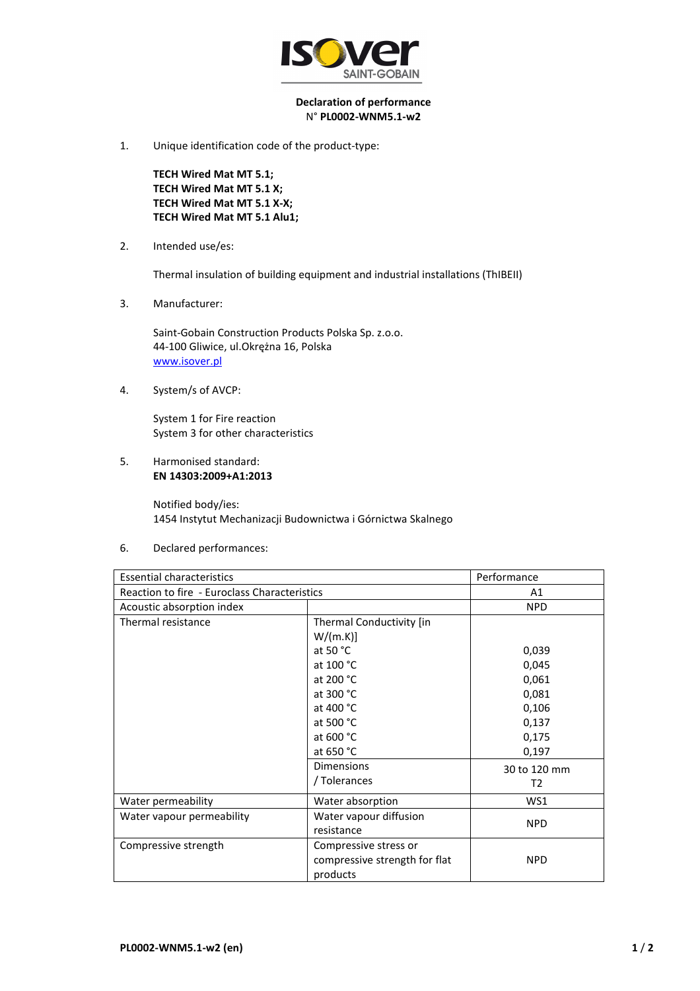

## **Declaration of performance**  N° **PL0002-WNM5.1-w2**

1. Unique identification code of the product-type:

**TECH Wired Mat MT 5.1; TECH Wired Mat MT 5.1 X; TECH Wired Mat MT 5.1 X-X; TECH Wired Mat MT 5.1 Alu1;** 

2. Intended use/es:

Thermal insulation of building equipment and industrial installations (ThIBEII)

3. Manufacturer:

Saint-Gobain Construction Products Polska Sp. z.o.o. 44-100 Gliwice, ul.Okrężna 16, Polska www.isover.pl

4. System/s of AVCP:

System 1 for Fire reaction System 3 for other characteristics

5. Harmonised standard: **EN 14303:2009+A1:2013**

> Notified body/ies: 1454 Instytut Mechanizacji Budownictwa i Górnictwa Skalnego

6. Declared performances:

| <b>Essential characteristics</b>             |                               | Performance  |
|----------------------------------------------|-------------------------------|--------------|
| Reaction to fire - Euroclass Characteristics |                               | A1           |
| Acoustic absorption index                    |                               | <b>NPD</b>   |
| Thermal resistance                           | Thermal Conductivity [in      |              |
|                                              | W/(m.K)]                      |              |
|                                              | at 50 $^{\circ}$ C            | 0,039        |
|                                              | at 100 °C                     | 0,045        |
|                                              | at 200 °C                     | 0,061        |
|                                              | at 300 °C                     | 0,081        |
|                                              | at 400 °C                     | 0,106        |
|                                              | at 500 °C                     | 0,137        |
|                                              | at 600 °C                     | 0,175        |
|                                              | at 650 °C                     | 0,197        |
|                                              | <b>Dimensions</b>             | 30 to 120 mm |
|                                              | / Tolerances                  | T2           |
| Water permeability                           | Water absorption              | WS1          |
| Water vapour permeability                    | Water vapour diffusion        | <b>NPD</b>   |
|                                              | resistance                    |              |
| Compressive strength                         | Compressive stress or         |              |
|                                              | compressive strength for flat | <b>NPD</b>   |
|                                              | products                      |              |